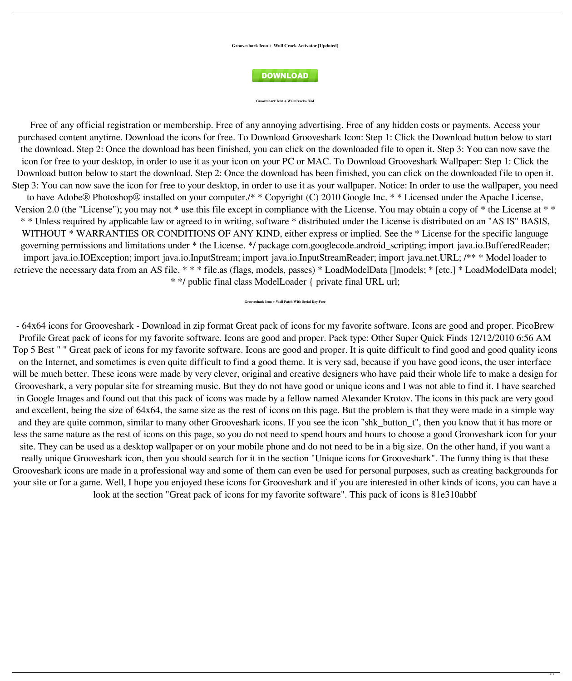**Grooveshark Icon + Wall Crack Activator [Updated]**



## **Grooveshark Icon + Wall Crack+ X64**

Free of any official registration or membership. Free of any annoying advertising. Free of any hidden costs or payments. Access your purchased content anytime. Download the icons for free. To Download Grooveshark Icon: Step 1: Click the Download button below to start the download. Step 2: Once the download has been finished, you can click on the downloaded file to open it. Step 3: You can now save the icon for free to your desktop, in order to use it as your icon on your PC or MAC. To Download Grooveshark Wallpaper: Step 1: Click the Download button below to start the download. Step 2: Once the download has been finished, you can click on the downloaded file to open it. Step 3: You can now save the icon for free to your desktop, in order to use it as your wallpaper. Notice: In order to use the wallpaper, you need to have Adobe® Photoshop® installed on your computer./\* \* Copyright (C) 2010 Google Inc. \* \* Licensed under the Apache License, Version 2.0 (the "License"); you may not \* use this file except in compliance with the License. You may obtain a copy of \* the License at \* \* \* \* Unless required by applicable law or agreed to in writing, software \* distributed under the License is distributed on an "AS IS" BASIS, WITHOUT \* WARRANTIES OR CONDITIONS OF ANY KIND, either express or implied. See the \* License for the specific language governing permissions and limitations under \* the License. \*/ package com.googlecode.android\_scripting; import java.io.BufferedReader; import java.io.IOException; import java.io.InputStream; import java.io.InputStreamReader; import java.net.URL; /\*\* \* Model loader to

retrieve the necessary data from an AS file. \* \* \* file.as (flags, models, passes) \* LoadModelData []models; \* [etc.] \* LoadModelData model; \* \*/ public final class ModelLoader { private final URL url;

- 64x64 icons for Grooveshark - Download in zip format Great pack of icons for my favorite software. Icons are good and proper. PicoBrew Profile Great pack of icons for my favorite software. Icons are good and proper. Pack type: Other Super Quick Finds 12/12/2010 6:56 AM Top 5 Best " " Great pack of icons for my favorite software. Icons are good and proper. It is quite difficult to find good and good quality icons on the Internet, and sometimes is even quite difficult to find a good theme. It is very sad, because if you have good icons, the user interface will be much better. These icons were made by very clever, original and creative designers who have paid their whole life to make a design for Grooveshark, a very popular site for streaming music. But they do not have good or unique icons and I was not able to find it. I have searched in Google Images and found out that this pack of icons was made by a fellow named Alexander Krotov. The icons in this pack are very good and excellent, being the size of 64x64, the same size as the rest of icons on this page. But the problem is that they were made in a simple way and they are quite common, similar to many other Grooveshark icons. If you see the icon "shk\_button\_t", then you know that it has more or less the same nature as the rest of icons on this page, so you do not need to spend hours and hours to choose a good Grooveshark icon for your site. They can be used as a desktop wallpaper or on your mobile phone and do not need to be in a big size. On the other hand, if you want a really unique Grooveshark icon, then you should search for it in the section "Unique icons for Grooveshark". The funny thing is that these Grooveshark icons are made in a professional way and some of them can even be used for personal purposes, such as creating backgrounds for your site or for a game. Well, I hope you enjoyed these icons for Grooveshark and if you are interested in other kinds of icons, you can have a look at the section "Great pack of icons for my favorite software". This pack of icons is 81e310abbf

**Grooveshark Icon + Wall Patch With Serial Key Free**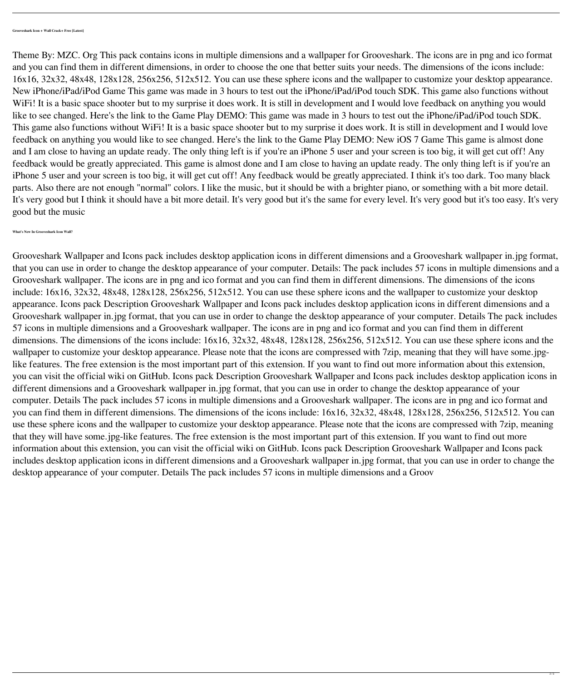Theme By: MZC. Org This pack contains icons in multiple dimensions and a wallpaper for Grooveshark. The icons are in png and ico format and you can find them in different dimensions, in order to choose the one that better suits your needs. The dimensions of the icons include: 16x16, 32x32, 48x48, 128x128, 256x256, 512x512. You can use these sphere icons and the wallpaper to customize your desktop appearance. New iPhone/iPad/iPod Game This game was made in 3 hours to test out the iPhone/iPad/iPod touch SDK. This game also functions without WiFi! It is a basic space shooter but to my surprise it does work. It is still in development and I would love feedback on anything you would like to see changed. Here's the link to the Game Play DEMO: This game was made in 3 hours to test out the iPhone/iPad/iPod touch SDK. This game also functions without WiFi! It is a basic space shooter but to my surprise it does work. It is still in development and I would love feedback on anything you would like to see changed. Here's the link to the Game Play DEMO: New iOS 7 Game This game is almost done and I am close to having an update ready. The only thing left is if you're an iPhone 5 user and your screen is too big, it will get cut off! Any feedback would be greatly appreciated. This game is almost done and I am close to having an update ready. The only thing left is if you're an iPhone 5 user and your screen is too big, it will get cut off! Any feedback would be greatly appreciated. I think it's too dark. Too many black parts. Also there are not enough "normal" colors. I like the music, but it should be with a brighter piano, or something with a bit more detail. It's very good but I think it should have a bit more detail. It's very good but it's the same for every level. It's very good but it's too easy. It's very good but the music

**What's New In Grooveshark Icon Wall?**

Grooveshark Wallpaper and Icons pack includes desktop application icons in different dimensions and a Grooveshark wallpaper in.jpg format,

that you can use in order to change the desktop appearance of your computer. Details: The pack includes 57 icons in multiple dimensions and a Grooveshark wallpaper. The icons are in png and ico format and you can find them in different dimensions. The dimensions of the icons include: 16x16, 32x32, 48x48, 128x128, 256x256, 512x512. You can use these sphere icons and the wallpaper to customize your desktop appearance. Icons pack Description Grooveshark Wallpaper and Icons pack includes desktop application icons in different dimensions and a Grooveshark wallpaper in.jpg format, that you can use in order to change the desktop appearance of your computer. Details The pack includes 57 icons in multiple dimensions and a Grooveshark wallpaper. The icons are in png and ico format and you can find them in different dimensions. The dimensions of the icons include: 16x16, 32x32, 48x48, 128x128, 256x256, 512x512. You can use these sphere icons and the wallpaper to customize your desktop appearance. Please note that the icons are compressed with 7zip, meaning that they will have some.jpglike features. The free extension is the most important part of this extension. If you want to find out more information about this extension, you can visit the official wiki on GitHub. Icons pack Description Grooveshark Wallpaper and Icons pack includes desktop application icons in different dimensions and a Grooveshark wallpaper in.jpg format, that you can use in order to change the desktop appearance of your computer. Details The pack includes 57 icons in multiple dimensions and a Grooveshark wallpaper. The icons are in png and ico format and you can find them in different dimensions. The dimensions of the icons include: 16x16, 32x32, 48x48, 128x128, 256x256, 512x512. You can use these sphere icons and the wallpaper to customize your desktop appearance. Please note that the icons are compressed with 7zip, meaning that they will have some.jpg-like features. The free extension is the most important part of this extension. If you want to find out more information about this extension, you can visit the official wiki on GitHub. Icons pack Description Grooveshark Wallpaper and Icons pack includes desktop application icons in different dimensions and a Grooveshark wallpaper in.jpg format, that you can use in order to change the desktop appearance of your computer. Details The pack includes 57 icons in multiple dimensions and a Groov